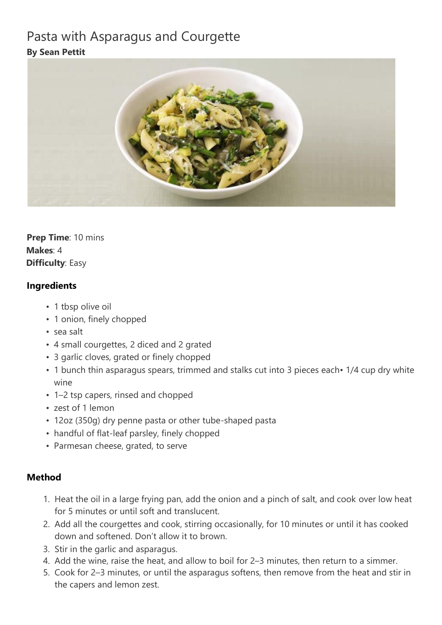## Pasta with Asparagus and Courgette **By Sean Pettit**



**Prep Time**: 10 mins **Makes**: 4 **Difficulty**: Easy

## **Ingredients**

- 1 tbsp olive oil
- 1 onion, finely chopped
- sea salt
- 4 small courgettes, 2 diced and 2 grated
- 3 garlic cloves, grated or finely chopped
- 1 bunch thin asparagus spears, trimmed and stalks cut into 3 pieces each 1/4 cup dry white wine
- 1–2 tsp capers, rinsed and chopped
- zest of 1 lemon
- 12oz (350g) dry penne pasta or other tube-shaped pasta
- handful of flat-leaf parsley, finely chopped
- Parmesan cheese, grated, to serve

## **Method**

- 1. Heat the oil in a large frying pan, add the onion and a pinch of salt, and cook over low heat for 5 minutes or until soft and translucent.
- 2. Add all the courgettes and cook, stirring occasionally, for 10 minutes or until it has cooked down and softened. Don't allow it to brown.
- 3. Stir in the garlic and asparagus.
- 4. Add the wine, raise the heat, and allow to boil for 2–3 minutes, then return to a simmer.
- 5. Cook for 2–3 minutes, or until the asparagus softens, then remove from the heat and stir in the capers and lemon zest.